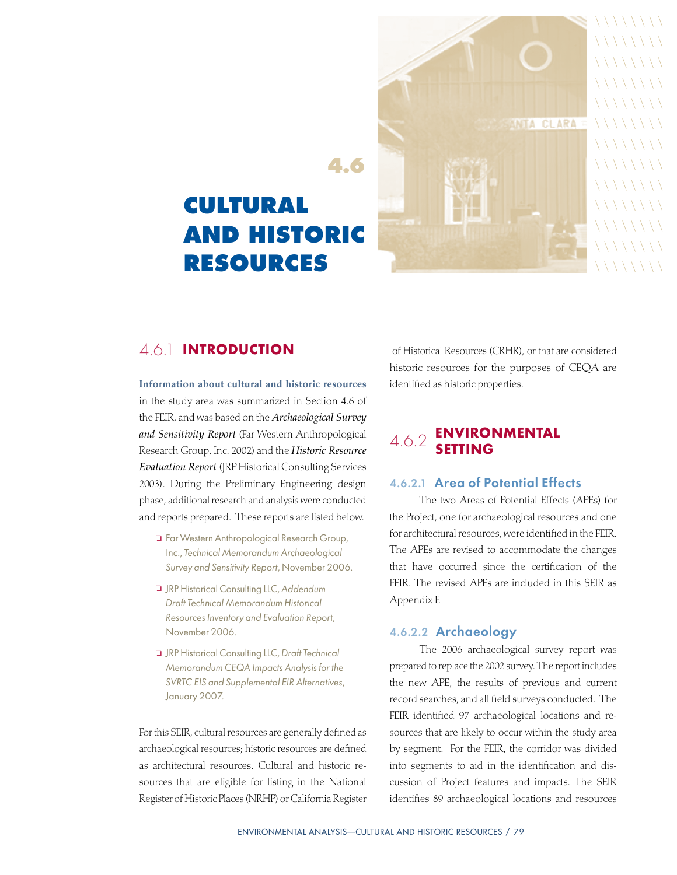

# **CULTURAL AND HISTORIC RESOURCES**

# 4.6.1 Introduction

Information about cultural and historic resources in the study area was summarized in Section 4.6 of the FEIR, and was based on the *Archaeological Survey and Sensitivity Report* (Far Western Anthropological Research Group, Inc. 2002) and the *Historic Resource Evaluation Report* (JRP Historical Consulting Services 2003). During the Preliminary Engineering design phase, additional research and analysis were conducted and reports prepared. These reports are listed below.

- <sup>o</sup> Far Western Anthropological Research Group, Inc., Technical Memorandum Archaeological Survey and Sensitivity Report, November 2006.
- **a** JRP Historical Consulting LLC, Addendum Draft Technical Memorandum Historical Resources Inventory and Evaluation Report, November 2006.
- <sup>o</sup> JRP Historical Consulting LLC, Draft Technical Memorandum CEQA Impacts Analysis for the SVRTC EIS and Supplemental EIR Alternatives, January 2007.

For this SEIR, cultural resources are generally defined as archaeological resources; historic resources are defined as architectural resources. Cultural and historic resources that are eligible for listing in the National Register of Historic Places (NRHP) or California Register

 of Historical Resources (CRHR), or that are considered historic resources for the purposes of CEQA are identified as historic properties.

# 4.6.2 Environmental Setting

## 4.6.2.1 Area of Potential Effects

The two Areas of Potential Effects (APEs) for the Project, one for archaeological resources and one for architectural resources, were identified in the FEIR. The APEs are revised to accommodate the changes that have occurred since the certification of the FEIR. The revised APEs are included in this SEIR as Appendix F.

## 4.6.2.2 Archaeology

The 2006 archaeological survey report was prepared to replace the 2002 survey. The report includes the new APE, the results of previous and current record searches, and all field surveys conducted. The FEIR identified 97 archaeological locations and resources that are likely to occur within the study area by segment. For the FEIR, the corridor was divided into segments to aid in the identification and discussion of Project features and impacts. The SEIR identifies 89 archaeological locations and resources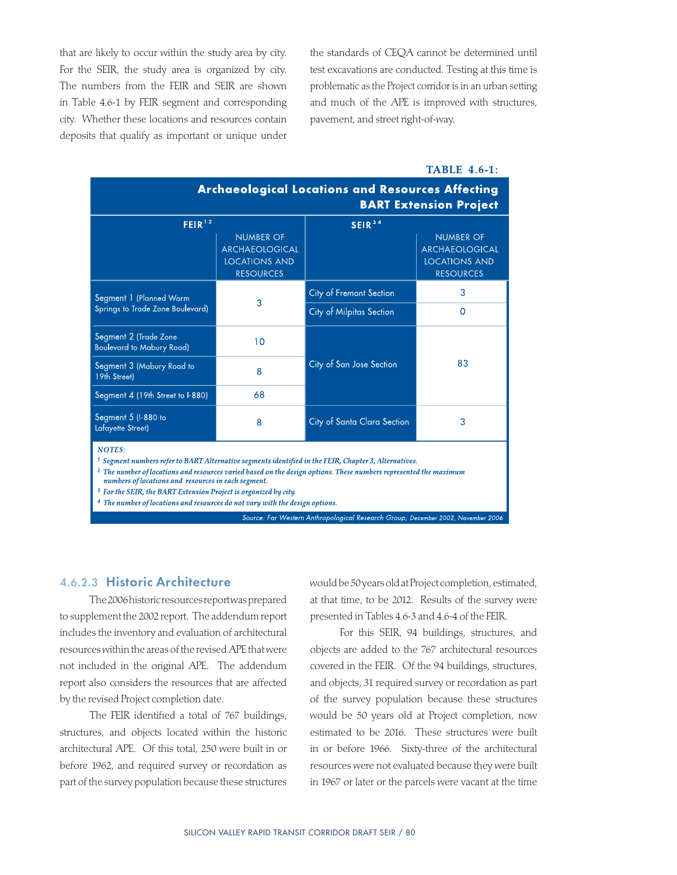that are likely to occur within the study area by city. For the SEIR, the study area is organized by city. The numbers from the FEIR and SEIR are shown in Table 4.6-1 by FEIR segment and corresponding city. Whether these locations and resources contain deposits that qualify as important or unique under the standards of CEQA cannot be determined until test excavations are conducted. Testing at this time is problematic as the Project corridor is in an urban setting and much of the APE is improved with structures, pavement, and street right-of-way.

#### **TABLE 4.6-1:**

| <b>Archaeological Locations and Resources Affecting</b><br><b>BART Extension Project</b>                                                                                                                                                                                                                                                                          |                                                                                       |                             |                                                                                       |  |  |
|-------------------------------------------------------------------------------------------------------------------------------------------------------------------------------------------------------------------------------------------------------------------------------------------------------------------------------------------------------------------|---------------------------------------------------------------------------------------|-----------------------------|---------------------------------------------------------------------------------------|--|--|
| FEIR <sup>12</sup>                                                                                                                                                                                                                                                                                                                                                |                                                                                       | SEIR <sup>3</sup>           |                                                                                       |  |  |
|                                                                                                                                                                                                                                                                                                                                                                   | <b>NUMBER OF</b><br><b>ARCHAEOLOGICAL</b><br><b>LOCATIONS AND</b><br><b>RESOURCES</b> |                             | <b>NUMBER OF</b><br><b>ARCHAEOLOGICAL</b><br><b>LOCATIONS AND</b><br><b>RESOURCES</b> |  |  |
| Segment 1 (Planned Warm<br>Springs to Trade Zone Boulevard)                                                                                                                                                                                                                                                                                                       | 3                                                                                     | City of Fremont Section     | 3                                                                                     |  |  |
|                                                                                                                                                                                                                                                                                                                                                                   |                                                                                       | City of Milpitas Section    | $\Omega$                                                                              |  |  |
| Segment 2 (Trade Zone<br><b>Boulevard to Mabury Road)</b>                                                                                                                                                                                                                                                                                                         | 10                                                                                    |                             | 83                                                                                    |  |  |
| Segment 3 (Mabury Road to<br>19th Street)                                                                                                                                                                                                                                                                                                                         | 8                                                                                     | City of San Jose Section    |                                                                                       |  |  |
| Segment 4 (19th Street to I-880)                                                                                                                                                                                                                                                                                                                                  | 68                                                                                    |                             |                                                                                       |  |  |
| Segment 5 (I-880 to<br>Lafayette Street)                                                                                                                                                                                                                                                                                                                          | 8                                                                                     | City of Santa Clara Section | 3                                                                                     |  |  |
| <b>NOTES:</b><br>$^1$ Segment numbers refer to BART Alternative segments identified in the FEIR, Chapter 3, Alternatives.<br><sup>2</sup> The number of locations and resources varied based on the design options. These numbers represented the maximum<br>numbers of locations and resources in each segment.<br>$2 \pi$ d optimal manners is made at $11 \pi$ |                                                                                       |                             |                                                                                       |  |  |

- For the SEIR, the BART Extension Project is organized by city.
- <sup>4</sup> The number of locations and resources do not vary with the design options.

Source: Far Western Anthropological Research Group, December 2002, No

## 4.6.2.3 Historic Architecture

The 2006 historic resources report was prepared to supplement the 2002 report. The addendum report includes the inventory and evaluation of architectural resources within the areas of the revised APE that were not included in the original APE. The addendum report also considers the resources that are affected by the revised Project completion date.

The FEIR identified a total of 767 buildings, structures, and objects located within the historic architectural APE. Of this total, 250 were built in or before 1962, and required survey or recordation as part of the survey population because these structures

would be 50 years old at Project completion, estimated, at that time, to be 2012. Results of the survey were presented in Tables 4.6-3 and 4.6-4 of the FEIR.

For this SEIR, 94 buildings, structures, and objects are added to the 767 architectural resources covered in the FEIR. Of the 94 buildings, structures, and objects, 31 required survey or recordation as part of the survey population because these structures would be 50 years old at Project completion, now estimated to be 2016. These structures were built in or before 1966. Sixty-three of the architectural resources were not evaluated because they were built in 1967 or later or the parcels were vacant at the time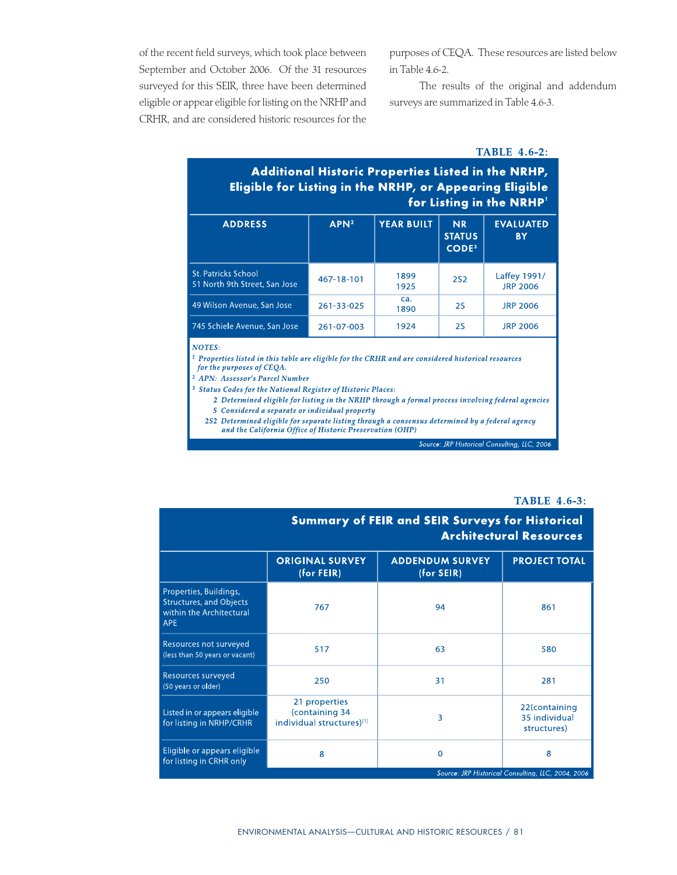of the recent field surveys, which took place between September and October 2006. Of the 31 resources surveyed for this SEIR, three have been determined eligible or appear eligible for listing on the NRHP and CRHR, and are considered historic resources for the purposes of CEQA. These resources are listed below in Table 4.6-2.

The results of the original and addendum surveys are summarized in Table 4.6-3.

#### **TABLE 4.6-2:**

# Additional Historic Properties Listed in the NRHP, Eligible for Listing in the NRHP, or Appearing Eligible for Listing in the NRHP'

| <b>ADDRESS</b>                                              | APN <sup>2</sup> | <b>YEAR BUILT</b> | <b>NR</b><br><b>STATUS</b><br>CODE <sup>3</sup> | <b>EVALUATED</b><br><b>BY</b>   |
|-------------------------------------------------------------|------------------|-------------------|-------------------------------------------------|---------------------------------|
| <b>St. Patricks School</b><br>51 North 9th Street, San Jose | 467-18-101       | 1899<br>1925      | <b>2S2</b>                                      | Laffey 1991/<br><b>JRP 2006</b> |
| 49 Wilson Avenue, San Jose                                  | 261-33-025       | ca.<br>1890       | <b>2S</b>                                       | <b>JRP 2006</b>                 |
| 745 Schiele Avenue, San Jose                                | 261-07-003       | 1924              | 2S                                              | <b>JRP 2006</b>                 |

#### **NOTES:**

<sup>1</sup> Properties listed in this table are eligible for the CRHR and are considered historical resources for the purposes of CEQA.

- <sup>2</sup> APN: Assessor's Parcel Number
- $^3\,$  Status Codes for the National Register of Historic Places:
	- 2 Determined eligible for listing in the NRHP through a formal process involving federal agencies
	- S Considered a separate or individual property
	- 2S2 Determined eligible for separate listing through a consensus determined by a federal agency and the California Office of Historic Preservation (OHP)

Source: JRP Historical Consulting, LLC, 2006

#### **TABLE 4.6-3:**

|                                                                                                    | <b>Summary of FEIR and SEIR Surveys for Historical</b><br><b>Architectural Resources</b> |                                        |                                                         |  |  |
|----------------------------------------------------------------------------------------------------|------------------------------------------------------------------------------------------|----------------------------------------|---------------------------------------------------------|--|--|
|                                                                                                    | <b>ORIGINAL SURVEY</b><br>(for FElR)                                                     | <b>ADDENDUM SURVEY</b><br>$(for$ SEIR) | <b>PROJECT TOTAL</b>                                    |  |  |
| Properties, Buildings,<br><b>Structures, and Objects</b><br>within the Architectural<br><b>APE</b> | 767                                                                                      | 94                                     | 861                                                     |  |  |
| Resources not surveyed<br>(less than 50 years or vacant)                                           | 517                                                                                      | 63                                     | 580                                                     |  |  |
| Resources surveyed<br>(50 years or older)                                                          | 250                                                                                      | 31                                     | 281                                                     |  |  |
| Listed in or appears eligible<br>for listing in NRHP/CRHR                                          | 21 properties<br>(containing 34<br>individual structures)[1]                             | 3                                      | 22(containing<br>35 individual<br>structures)           |  |  |
| Eligible or appears eligible<br>for listing in CRHR only                                           | 8                                                                                        | $\Omega$                               | 8<br>Source: JRP Historical Consulting, LLC, 2004, 2006 |  |  |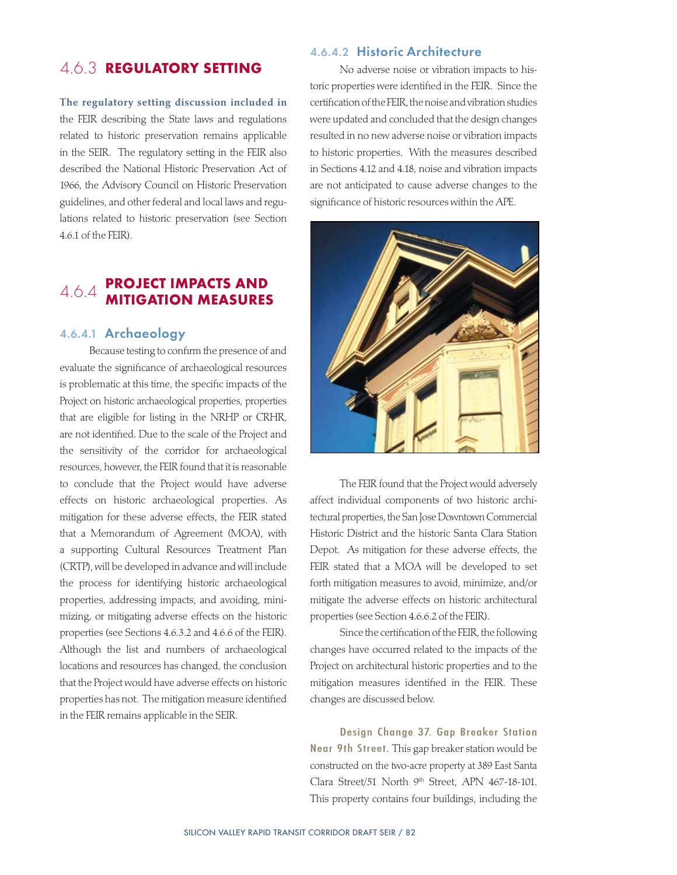# 4.6.3 Regulatory Setting

The regulatory setting discussion included in the FEIR describing the State laws and regulations related to historic preservation remains applicable in the SEIR. The regulatory setting in the FEIR also described the National Historic Preservation Act of 1966, the Advisory Council on Historic Preservation guidelines, and other federal and local laws and regulations related to historic preservation (see Section 4.6.1 of the FEIR).

## 4.6.4 **PROJECT IMPACTS AND** Mitigation Measures

## 4.6.4.1 Archaeology

Because testing to confirm the presence of and evaluate the significance of archaeological resources is problematic at this time, the specific impacts of the Project on historic archaeological properties, properties that are eligible for listing in the NRHP or CRHR, are not identified. Due to the scale of the Project and the sensitivity of the corridor for archaeological resources, however, the FEIR found that it is reasonable to conclude that the Project would have adverse effects on historic archaeological properties. As mitigation for these adverse effects, the FEIR stated that a Memorandum of Agreement (MOA), with a supporting Cultural Resources Treatment Plan (CRTP), will be developed in advance and will include the process for identifying historic archaeological properties, addressing impacts, and avoiding, minimizing, or mitigating adverse effects on the historic properties (see Sections 4.6.3.2 and 4.6.6 of the FEIR). Although the list and numbers of archaeological locations and resources has changed, the conclusion that the Project would have adverse effects on historic properties has not. The mitigation measure identified in the FEIR remains applicable in the SEIR.

### 4.6.4.2 Historic Architecture

No adverse noise or vibration impacts to historic properties were identified in the FEIR. Since the certification of the FEIR, the noise and vibration studies were updated and concluded that the design changes resulted in no new adverse noise or vibration impacts to historic properties. With the measures described in Sections 4.12 and 4.18, noise and vibration impacts are not anticipated to cause adverse changes to the significance of historic resources within the APE.



The FEIR found that the Project would adversely affect individual components of two historic architectural properties, the San Jose Downtown Commercial Historic District and the historic Santa Clara Station Depot. As mitigation for these adverse effects, the FEIR stated that a MOA will be developed to set forth mitigation measures to avoid, minimize, and/or mitigate the adverse effects on historic architectural properties (see Section 4.6.6.2 of the FEIR).

Since the certification of the FEIR, the following changes have occurred related to the impacts of the Project on architectural historic properties and to the mitigation measures identified in the FEIR. These changes are discussed below.

Design Change 37. Gap Breaker Station Near 9th Street. This gap breaker station would be constructed on the two-acre property at 389 East Santa Clara Street/51 North 9<sup>th</sup> Street, APN 467-18-101. This property contains four buildings, including the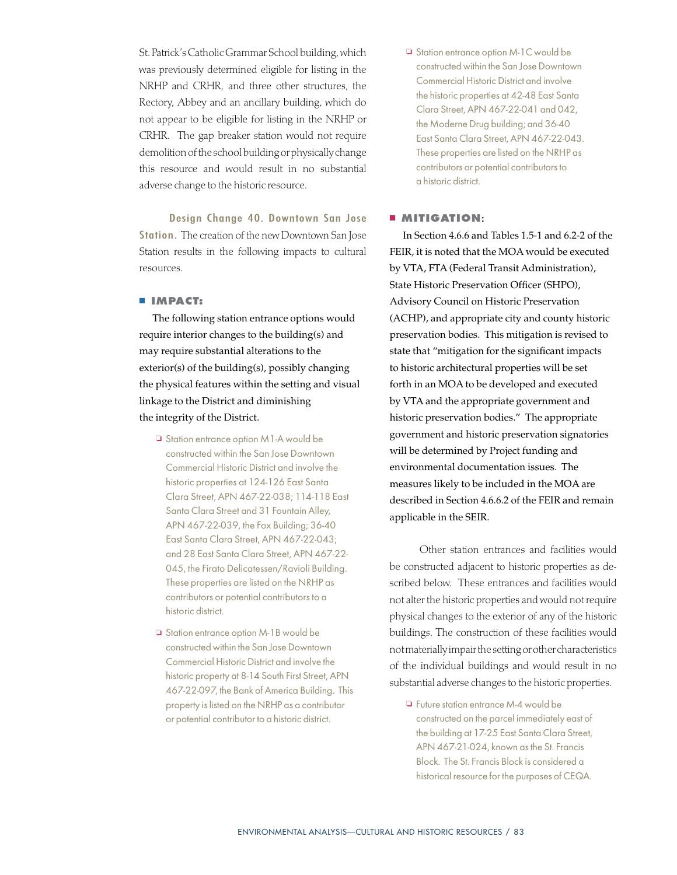St. Patrick's Catholic Grammar School building, which was previously determined eligible for listing in the NRHP and CRHR, and three other structures, the Rectory, Abbey and an ancillary building, which do not appear to be eligible for listing in the NRHP or CRHR. The gap breaker station would not require demolition of the school building or physically change this resource and would result in no substantial adverse change to the historic resource.

Design Change 40. Downtown San Jose Station. The creation of the new Downtown San Jose Station results in the following impacts to cultural resources.

#### **n IMPACT:**

The following station entrance options would require interior changes to the building(s) and may require substantial alterations to the exterior(s) of the building(s), possibly changing the physical features within the setting and visual linkage to the District and diminishing the integrity of the District.

- $\Box$  Station entrance option M1-A would be constructed within the San Jose Downtown Commercial Historic District and involve the historic properties at 124-126 East Santa Clara Street, APN 467-22-038; 114-118 East Santa Clara Street and 31 Fountain Alley, APN 467-22-039, the Fox Building; 36-40 East Santa Clara Street, APN 467-22-043; and 28 East Santa Clara Street, APN 467-22- 045, the Firato Delicatessen/Ravioli Building. These properties are listed on the NRHP as contributors or potential contributors to a historic district.
- □ Station entrance option M-1B would be constructed within the San Jose Downtown Commercial Historic District and involve the historic property at 8-14 South First Street, APN 467-22-097, the Bank of America Building. This property is listed on the NRHP as a contributor or potential contributor to a historic district.

□ Station entrance option M-1C would be constructed within the San Jose Downtown Commercial Historic District and involve the historic properties at 42-48 East Santa Clara Street, APN 467-22-041 and 042, the Moderne Drug building; and 36-40 East Santa Clara Street, APN 467-22-043. These properties are listed on the NRHP as contributors or potential contributors to a historic district.

#### $MITIGATION$ **:**

In Section 4.6.6 and Tables 1.5-1 and 6.2-2 of the FEIR, it is noted that the MOA would be executed by VTA, FTA (Federal Transit Administration), State Historic Preservation Officer (SHPO), Advisory Council on Historic Preservation (ACHP), and appropriate city and county historic preservation bodies. This mitigation is revised to state that "mitigation for the significant impacts to historic architectural properties will be set forth in an MOA to be developed and executed by VTA and the appropriate government and historic preservation bodies." The appropriate government and historic preservation signatories will be determined by Project funding and environmental documentation issues. The measures likely to be included in the MOA are described in Section 4.6.6.2 of the FEIR and remain applicable in the SEIR.

Other station entrances and facilities would be constructed adjacent to historic properties as described below. These entrances and facilities would not alter the historic properties and would not require physical changes to the exterior of any of the historic buildings. The construction of these facilities would not materially impair the setting or other characteristics of the individual buildings and would result in no substantial adverse changes to the historic properties.

 $\Box$  Future station entrance M-4 would be constructed on the parcel immediately east of the building at 17-25 East Santa Clara Street, APN 467-21-024, known as the St. Francis Block. The St. Francis Block is considered a historical resource for the purposes of CEQA.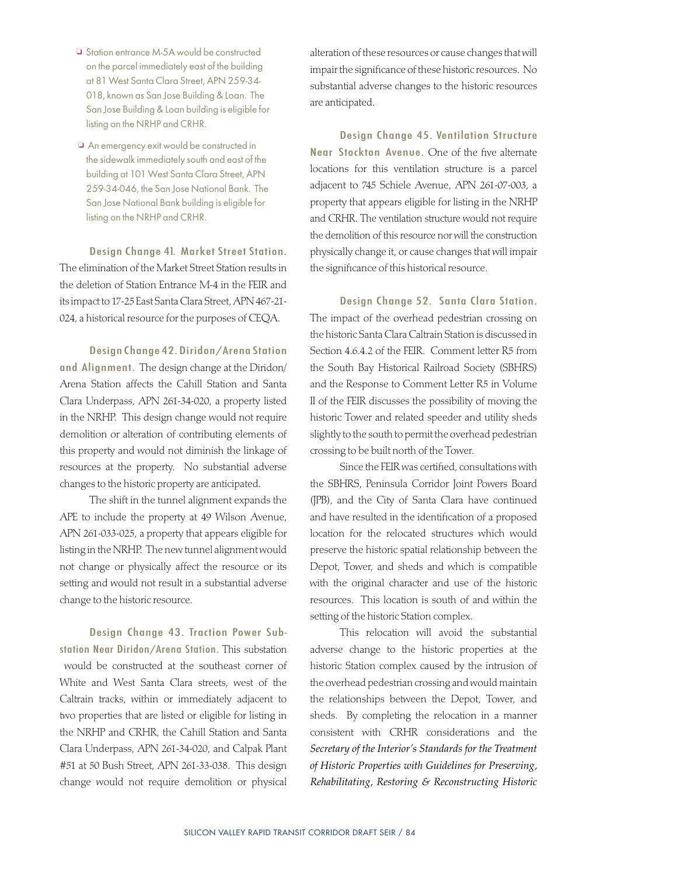- □ Station entrance M-5A would be constructed on the parcel immediately east of the building at 81 West Santa Clara Street, APN 259-34- 018, known as San Jose Building & Loan. The San Jose Building & Loan building is eligible for listing on the NRHP and CRHR.
- $\Box$  An emergency exit would be constructed in the sidewalk immediately south and east of the building at 101 West Santa Clara Street, APN 259-34-046, the San Jose National Bank. The San Jose National Bank building is eligible for listing on the NRHP and CRHR.

Design Change 41. Market Street Station. The elimination of the Market Street Station results in the deletion of Station Entrance M-4 in the FEIR and its impact to 17-25 East Santa Clara Street, APN 467-21- 024, a historical resource for the purposes of CEQA.

Design Change 42. Diridon/Arena Station and Alignment. The design change at the Diridon/ Arena Station affects the Cahill Station and Santa Clara Underpass, APN 261-34-020, a property listed in the NRHP. This design change would not require demolition or alteration of contributing elements of this property and would not diminish the linkage of resources at the property. No substantial adverse changes to the historic property are anticipated.

The shift in the tunnel alignment expands the APE to include the property at 49 Wilson Avenue, APN 261-033-025, a property that appears eligible for listing in the NRHP. The new tunnel alignment would not change or physically affect the resource or its setting and would not result in a substantial adverse change to the historic resource.

Design Change 43. Traction Power Substation Near Diridon/Arena Station. This substation would be constructed at the southeast corner of White and West Santa Clara streets, west of the Caltrain tracks, within or immediately adjacent to two properties that are listed or eligible for listing in the NRHP and CRHR, the Cahill Station and Santa Clara Underpass, APN 261-34-020, and Calpak Plant #51 at 50 Bush Street, APN 261-33-038. This design change would not require demolition or physical alteration of these resources or cause changes that will impair the significance of these historic resources. No substantial adverse changes to the historic resources are anticipated.

Design Change 45. Ventilation Structure Near Stockton Avenue. One of the five alternate locations for this ventilation structure is a parcel adjacent to 745 Schiele Avenue, APN 261-07-003, a property that appears eligible for listing in the NRHP and CRHR. The ventilation structure would not require the demolition of this resource nor will the construction physically change it, or cause changes that will impair the significance of this historical resource.

Design Change 52. Santa Clara Station. The impact of the overhead pedestrian crossing on the historic Santa Clara Caltrain Station is discussed in Section 4.6.4.2 of the FEIR. Comment letter R5 from the South Bay Historical Railroad Society (SBHRS) and the Response to Comment Letter R5 in Volume II of the FEIR discusses the possibility of moving the historic Tower and related speeder and utility sheds slightly to the south to permit the overhead pedestrian crossing to be built north of the Tower.

Since the FEIR was certified, consultations with the SBHRS, Peninsula Corridor Joint Powers Board (JPB), and the City of Santa Clara have continued and have resulted in the identification of a proposed location for the relocated structures which would preserve the historic spatial relationship between the Depot, Tower, and sheds and which is compatible with the original character and use of the historic resources. This location is south of and within the setting of the historic Station complex.

This relocation will avoid the substantial adverse change to the historic properties at the historic Station complex caused by the intrusion of the overhead pedestrian crossing and would maintain the relationships between the Depot, Tower, and sheds. By completing the relocation in a manner consistent with CRHR considerations and the *Secretary of the Interior's Standards for the Treatment of Historic Properties with Guidelines for Preserving, Rehabilitating, Restoring & Reconstructing Historic*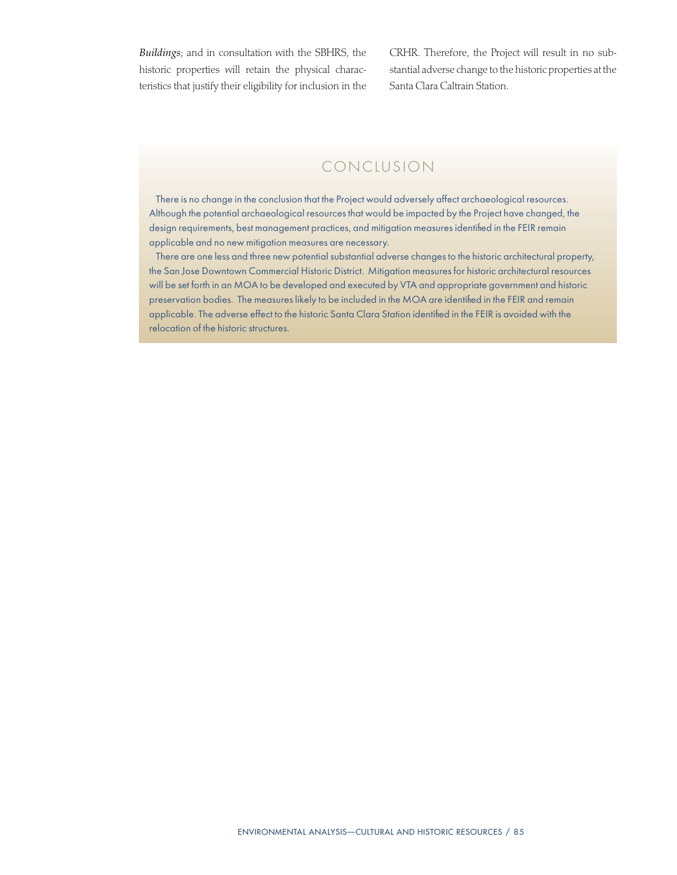*Buildings*; and in consultation with the SBHRS, the historic properties will retain the physical characteristics that justify their eligibility for inclusion in the CRHR. Therefore, the Project will result in no substantial adverse change to the historic properties at the Santa Clara Caltrain Station.

# CONCLUSION

There is no change in the conclusion that the Project would adversely affect archaeological resources. Although the potential archaeological resources that would be impacted by the Project have changed, the design requirements, best management practices, and mitigation measures identified in the FEIR remain applicable and no new mitigation measures are necessary.

There are one less and three new potential substantial adverse changes to the historic architectural property, the San Jose Downtown Commercial Historic District. Mitigation measures for historic architectural resources will be set forth in an MOA to be developed and executed by VTA and appropriate government and historic preservation bodies. The measures likely to be included in the MOA are identified in the FEIR and remain applicable. The adverse effect to the historic Santa Clara Station identified in the FEIR is avoided with the relocation of the historic structures.